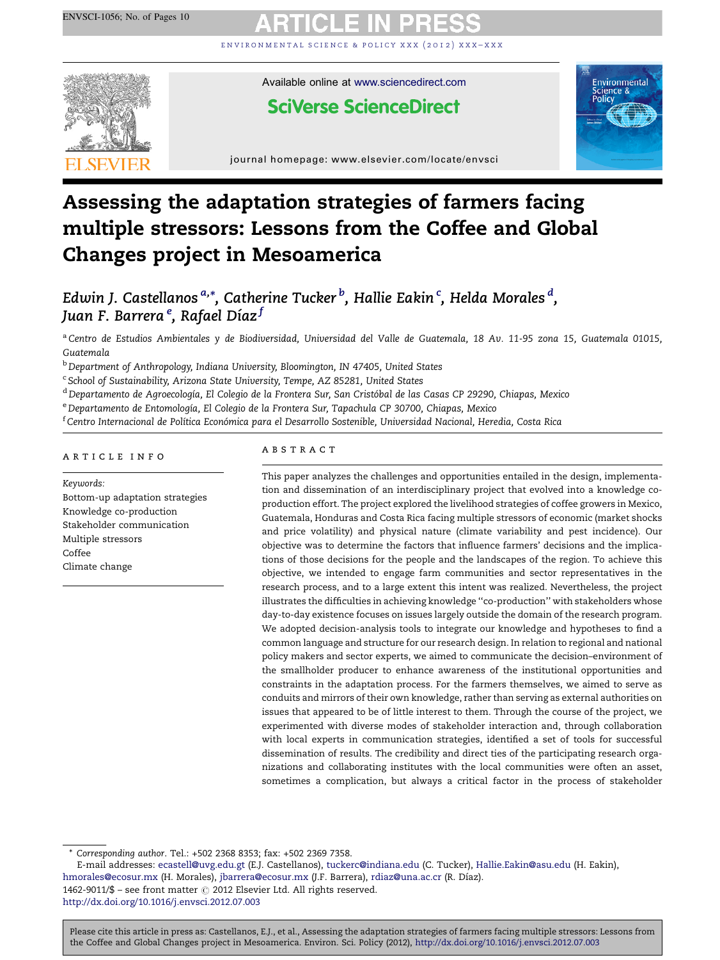ENVIRONMENTAL SCIENCE & POLICY XXX (2012) XXX-XXX



Available online at [www.sciencedirect.com](http://www.sciencedirect.com/science/journal/14629011)

## **SciVerse ScienceDirect**



journal homepage: www.elsevier.com/locate/envsci

# Assessing the adaptation strategies of farmers facing multiple stressors: Lessons from the Coffee and Global Changes project in Mesoamerica

Edwin J. Castellanos  $^{a,\ast},$  Catherine Tucker  $^b$ , Hallie Eakin  $^c$ , Helda Morales  $^d$ , Juan F. Barrera <sup>e</sup>, Rafael Díaz <sup>f</sup>

<sup>a</sup> Centro de Estudios Ambientales y de Biodiversidad, Universidad del Valle de Guatemala, 18 Av. 11-95 zona 15, Guatemala 01015, Guatemala

<sup>b</sup> Department of Anthropology, Indiana University, Bloomington, IN 47405, United States

<sup>c</sup> School of Sustainability, Arizona State University, Tempe, AZ 85281, United States

<sup>d</sup> Departamento de Agroecología, El Colegio de la Frontera Sur, San Cristóbal de las Casas CP 29290, Chiapas, Mexico

e Departamento de Entomología, El Colegio de la Frontera Sur, Tapachula CP 30700, Chiapas, Mexico

<sup>f</sup> Centro Internacional de Política Económica para el Desarrollo Sostenible, Universidad Nacional, Heredia, Costa Rica

### a r t i c l e i n f o

Keywords: Bottom-up adaptation strategies Knowledge co-production Stakeholder communication Multiple stressors Coffee Climate change

### A B S T R A C T

This paper analyzes the challenges and opportunities entailed in the design, implementation and dissemination of an interdisciplinary project that evolved into a knowledge coproduction effort. The project explored the livelihood strategies of coffee growers in Mexico, Guatemala, Honduras and Costa Rica facing multiple stressors of economic (market shocks and price volatility) and physical nature (climate variability and pest incidence). Our objective was to determine the factors that influence farmers' decisions and the implications of those decisions for the people and the landscapes of the region. To achieve this objective, we intended to engage farm communities and sector representatives in the research process, and to a large extent this intent was realized. Nevertheless, the project illustrates the difficulties in achieving knowledge ''co-production'' with stakeholders whose day-to-day existence focuses on issues largely outside the domain of the research program. We adopted decision-analysis tools to integrate our knowledge and hypotheses to find a common language and structure for our research design. In relation to regional and national policy makers and sector experts, we aimed to communicate the decision–environment of the smallholder producer to enhance awareness of the institutional opportunities and constraints in the adaptation process. For the farmers themselves, we aimed to serve as conduits and mirrors of their own knowledge, rather than serving as external authorities on issues that appeared to be of little interest to them. Through the course of the project, we experimented with diverse modes of stakeholder interaction and, through collaboration with local experts in communication strategies, identified a set of tools for successful dissemination of results. The credibility and direct ties of the participating research organizations and collaborating institutes with the local communities were often an asset, sometimes a complication, but always a critical factor in the process of stakeholder

\* Corresponding author. Tel.: +502 2368 8353; fax: +502 2369 7358.

E-mail addresses: [ecastell@uvg.edu.gt](mailto:ecastell@uvg.edu.gt) (E.J. Castellanos), [tuckerc@indiana.edu](mailto:tuckerc@indiana.edu) (C. Tucker), [Hallie.Eakin@asu.edu](mailto:Hallie.Eakin@asu.edu) (H. Eakin), [hmorales@ecosur.mx](mailto:hmorales@ecosur.mx) (H. Morales), [jbarrera@ecosur.mx](mailto:jbarrera@ecosur.mx) (J.F. Barrera), [rdiaz@una.ac.cr](mailto:rdiaz@una.ac.cr) (R. Díaz). 1462-9011/\$ - see front matter @ 2012 Elsevier Ltd. All rights reserved. <http://dx.doi.org/10.1016/j.envsci.2012.07.003>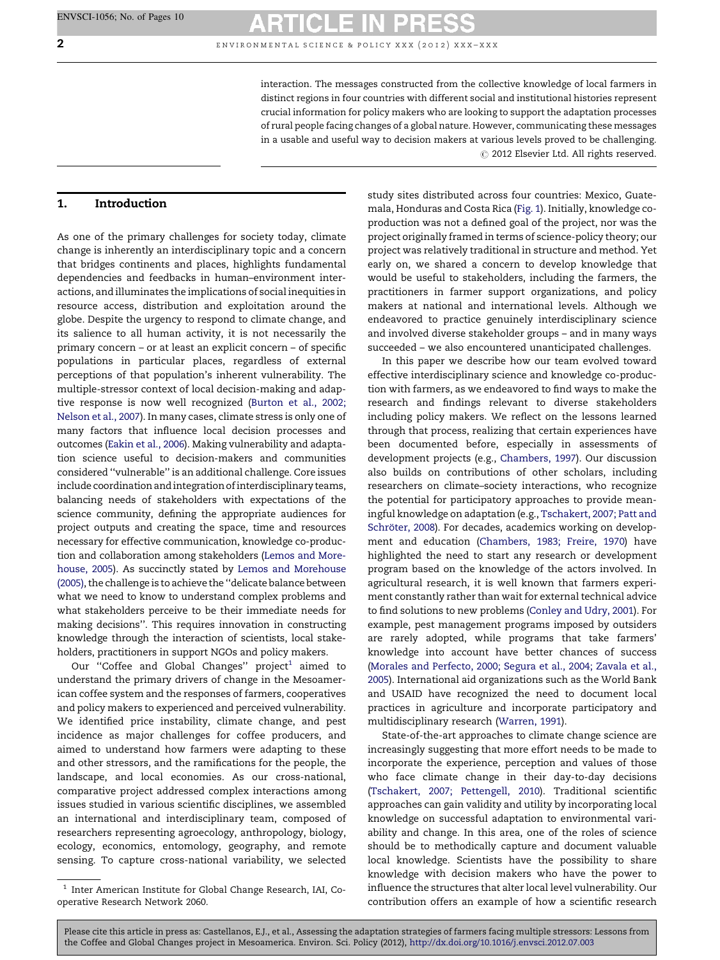**2** environmental science & policy xxx (2012)  $x x x - x x x$ 

interaction. The messages constructed from the collective knowledge of local farmers in distinct regions in four countries with different social and institutional histories represent crucial information for policy makers who are looking to support the adaptation processes of rural people facing changes of a global nature. However, communicating these messages in a usable and useful way to decision makers at various levels proved to be challenging.  $\odot$  2012 Elsevier Ltd. All rights reserved.

### 1. Introduction

As one of the primary challenges for society today, climate change is inherently an interdisciplinary topic and a concern that bridges continents and places, highlights fundamental dependencies and feedbacks in human–environment interactions, and illuminates the implications of social inequities in resource access, distribution and exploitation around the globe. Despite the urgency to respond to climate change, and its salience to all human activity, it is not necessarily the primary concern – or at least an explicit concern – of specific populations in particular places, regardless of external perceptions of that population's inherent vulnerability. The multiple-stressor context of local decision-making and adaptive response is now well recognized ([Burton](#page-8-0) et al., 2002; [Nelson](#page-8-0) et al., 2007). In many cases, climate stress is only one of many factors that influence local decision processes and outcomes [\(Eakin](#page-9-0) et al., 2006). Making vulnerability and adaptation science useful to decision-makers and communities considered ''vulnerable'' is an additional challenge. Core issues include coordination and integration of interdisciplinary teams, balancing needs of stakeholders with expectations of the science community, defining the appropriate audiences for project outputs and creating the space, time and resources necessary for effective communication, knowledge co-production and collaboration among stakeholders ([Lemos](#page-9-0) and More[house,](#page-9-0) 2005). As succinctly stated by Lemos and [Morehouse](#page-9-0) [\(2005\)](#page-9-0), the challenge is to achieve the "delicate balance between what we need to know to understand complex problems and what stakeholders perceive to be their immediate needs for making decisions''. This requires innovation in constructing knowledge through the interaction of scientists, local stakeholders, practitioners in support NGOs and policy makers.

Our "Coffee and Global Changes" project<sup>1</sup> aimed to understand the primary drivers of change in the Mesoamerican coffee system and the responses of farmers, cooperatives and policy makers to experienced and perceived vulnerability. We identified price instability, climate change, and pest incidence as major challenges for coffee producers, and aimed to understand how farmers were adapting to these and other stressors, and the ramifications for the people, the landscape, and local economies. As our cross-national, comparative project addressed complex interactions among issues studied in various scientific disciplines, we assembled an international and interdisciplinary team, composed of researchers representing agroecology, anthropology, biology, ecology, economics, entomology, geography, and remote sensing. To capture cross-national variability, we selected

<sup>1</sup> Inter American Institute for Global Change Research, IAI, Cooperative Research Network 2060.

study sites distributed across four countries: Mexico, Guatemala, Honduras and Costa Rica ([Fig.](#page-2-0) 1). Initially, knowledge coproduction was not a defined goal of the project, nor was the project originally framed in terms of science-policy theory; our project was relatively traditional in structure and method. Yet early on, we shared a concern to develop knowledge that would be useful to stakeholders, including the farmers, the practitioners in farmer support organizations, and policy makers at national and international levels. Although we endeavored to practice genuinely interdisciplinary science and involved diverse stakeholder groups – and in many ways succeeded – we also encountered unanticipated challenges.

In this paper we describe how our team evolved toward effective interdisciplinary science and knowledge co-production with farmers, as we endeavored to find ways to make the research and findings relevant to diverse stakeholders including policy makers. We reflect on the lessons learned through that process, realizing that certain experiences have been documented before, especially in assessments of development projects (e.g., [Chambers,](#page-8-0) 1997). Our discussion also builds on contributions of other scholars, including researchers on climate–society interactions, who recognize the potential for participatory approaches to provide meaningful knowledge on adaptation (e.g., [Tschakert,](#page-9-0) 2007; Patt and Schröter, 2008). For decades, academics working on development and education ([Chambers,](#page-8-0) 1983; Freire, 1970) have highlighted the need to start any research or development program based on the knowledge of the actors involved. In agricultural research, it is well known that farmers experiment constantly rather than wait for external technical advice to find solutions to new problems [\(Conley](#page-8-0) and Udry, 2001). For example, pest management programs imposed by outsiders are rarely adopted, while programs that take farmers' knowledge into account have better chances of success (Morales and [Perfecto,](#page-9-0) 2000; Segura et al., 2004; Zavala et al., [2005\)](#page-9-0). International aid organizations such as the World Bank and USAID have recognized the need to document local practices in agriculture and incorporate participatory and multidisciplinary research [\(Warren,](#page-9-0) 1991).

State-of-the-art approaches to climate change science are increasingly suggesting that more effort needs to be made to incorporate the experience, perception and values of those who face climate change in their day-to-day decisions ([Tschakert,](#page-9-0) 2007; Pettengell, 2010). Traditional scientific approaches can gain validity and utility by incorporating local knowledge on successful adaptation to environmental variability and change. In this area, one of the roles of science should be to methodically capture and document valuable local knowledge. Scientists have the possibility to share knowledge with decision makers who have the power to influence the structures that alter local level vulnerability. Our contribution offers an example of how a scientific research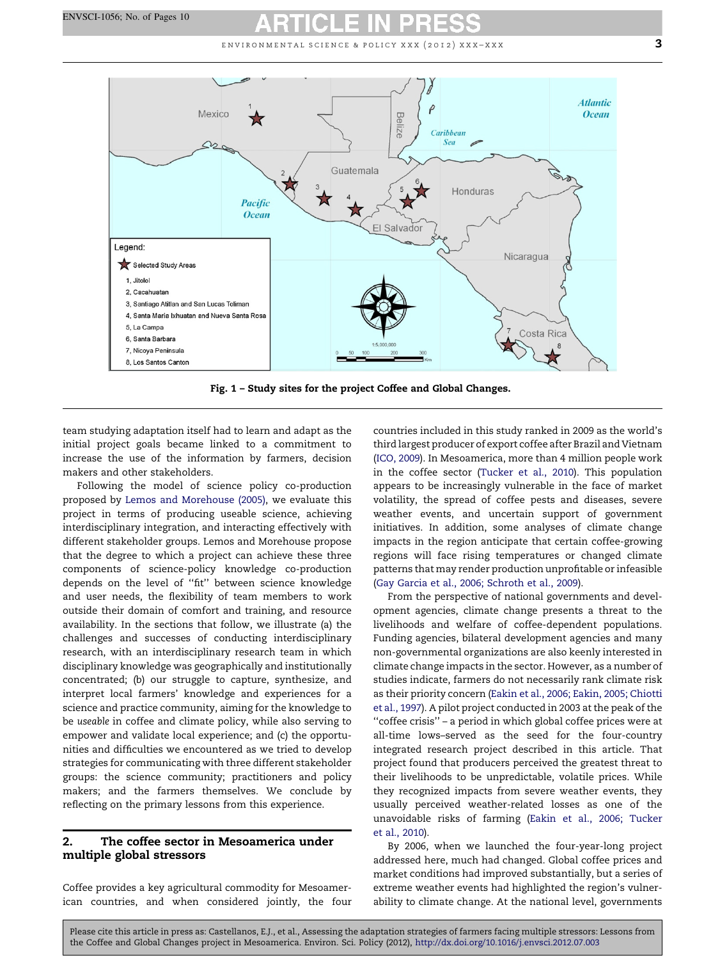### ENVIRONMENTAL SCIENCE & POLICY XXX  $(2012)$  XXX-XXX  $(3012)$

<span id="page-2-0"></span>

Fig. 1 – Study sites for the project Coffee and Global Changes.

team studying adaptation itself had to learn and adapt as the initial project goals became linked to a commitment to increase the use of the information by farmers, decision makers and other stakeholders.

Following the model of science policy co-production proposed by Lemos and [Morehouse](#page-9-0) (2005), we evaluate this project in terms of producing useable science, achieving interdisciplinary integration, and interacting effectively with different stakeholder groups. Lemos and Morehouse propose that the degree to which a project can achieve these three components of science-policy knowledge co-production depends on the level of ''fit'' between science knowledge and user needs, the flexibility of team members to work outside their domain of comfort and training, and resource availability. In the sections that follow, we illustrate (a) the challenges and successes of conducting interdisciplinary research, with an interdisciplinary research team in which disciplinary knowledge was geographically and institutionally concentrated; (b) our struggle to capture, synthesize, and interpret local farmers' knowledge and experiences for a science and practice community, aiming for the knowledge to be useable in coffee and climate policy, while also serving to empower and validate local experience; and (c) the opportunities and difficulties we encountered as we tried to develop strategies for communicating with three different stakeholder groups: the science community; practitioners and policy makers; and the farmers themselves. We conclude by reflecting on the primary lessons from this experience.

### 2. The coffee sector in Mesoamerica under multiple global stressors

Coffee provides a key agricultural commodity for Mesoamerican countries, and when considered jointly, the four countries included in this study ranked in 2009 as the world's third largest producer of export coffee after Brazil and Vietnam (ICO, [2009](#page-9-0)). In Mesoamerica, more than 4 million people work in the coffee sector [\(Tucker](#page-9-0) et al., 2010). This population appears to be increasingly vulnerable in the face of market volatility, the spread of coffee pests and diseases, severe weather events, and uncertain support of government initiatives. In addition, some analyses of climate change impacts in the region anticipate that certain coffee-growing regions will face rising temperatures or changed climate patterns that may render production unprofitable or infeasible (Gay Garcia et al., 2006; [Schroth](#page-9-0) et al., 2009).

From the perspective of national governments and development agencies, climate change presents a threat to the livelihoods and welfare of coffee-dependent populations. Funding agencies, bilateral development agencies and many non-governmental organizations are also keenly interested in climate change impacts in the sector. However, as a number of studies indicate, farmers do not necessarily rank climate risk as their priority concern (Eakin et al., 2006; Eakin, 2005; [Chiotti](#page-9-0) et al., [1997\)](#page-9-0). A pilot project conducted in 2003 at the peak of the ''coffee crisis'' – a period in which global coffee prices were at all-time lows–served as the seed for the four-country integrated research project described in this article. That project found that producers perceived the greatest threat to their livelihoods to be unpredictable, volatile prices. While they recognized impacts from severe weather events, they usually perceived weather-related losses as one of the unavoidable risks of farming (Eakin et al., 2006; [Tucker](#page-9-0) et al., [2010\)](#page-9-0).

By 2006, when we launched the four-year-long project addressed here, much had changed. Global coffee prices and market conditions had improved substantially, but a series of extreme weather events had highlighted the region's vulnerability to climate change. At the national level, governments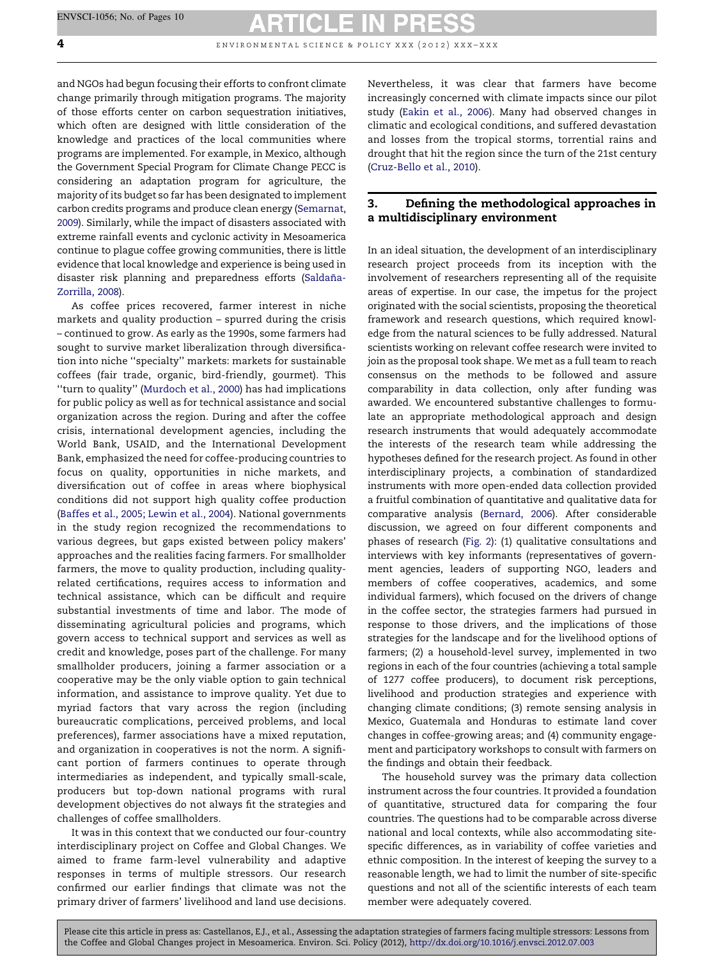$\overline{4}$  en vironmental science & policy xxx (2012) xxx-xxx

and NGOs had begun focusing their efforts to confront climate change primarily through mitigation programs. The majority of those efforts center on carbon sequestration initiatives, which often are designed with little consideration of the knowledge and practices of the local communities where programs are implemented. For example, in Mexico, although the Government Special Program for Climate Change PECC is considering an adaptation program for agriculture, the majority of its budget so far has been designated to implement carbon credits programs and produce clean energy [\(Semarnat,](#page-9-0) [2009\)](#page-9-0). Similarly, while the impact of disasters associated with extreme rainfall events and cyclonic activity in Mesoamerica continue to plague coffee growing communities, there is little evidence that local knowledge and experience is being used in disaster risk planning and preparedness efforts (Saldaña-[Zorrilla,](#page-9-0) 2008).

As coffee prices recovered, farmer interest in niche markets and quality production – spurred during the crisis – continued to grow. As early as the 1990s, some farmers had sought to survive market liberalization through diversification into niche ''specialty'' markets: markets for sustainable coffees (fair trade, organic, bird-friendly, gourmet). This ''turn to quality'' ([Murdoch](#page-9-0) et al., 2000) has had implications for public policy as well as for technical assistance and social organization across the region. During and after the coffee crisis, international development agencies, including the World Bank, USAID, and the International Development Bank, emphasized the need for coffee-producing countries to focus on quality, opportunities in niche markets, and diversification out of coffee in areas where biophysical conditions did not support high quality coffee production ([Baffes](#page-8-0) et al., 2005; Lewin et al., 2004). National governments in the study region recognized the recommendations to various degrees, but gaps existed between policy makers' approaches and the realities facing farmers. For smallholder farmers, the move to quality production, including qualityrelated certifications, requires access to information and technical assistance, which can be difficult and require substantial investments of time and labor. The mode of disseminating agricultural policies and programs, which govern access to technical support and services as well as credit and knowledge, poses part of the challenge. For many smallholder producers, joining a farmer association or a cooperative may be the only viable option to gain technical information, and assistance to improve quality. Yet due to myriad factors that vary across the region (including bureaucratic complications, perceived problems, and local preferences), farmer associations have a mixed reputation, and organization in cooperatives is not the norm. A significant portion of farmers continues to operate through intermediaries as independent, and typically small-scale, producers but top-down national programs with rural development objectives do not always fit the strategies and challenges of coffee smallholders.

It was in this context that we conducted our four-country interdisciplinary project on Coffee and Global Changes. We aimed to frame farm-level vulnerability and adaptive responses in terms of multiple stressors. Our research confirmed our earlier findings that climate was not the primary driver of farmers' livelihood and land use decisions.

Nevertheless, it was clear that farmers have become increasingly concerned with climate impacts since our pilot study ([Eakin](#page-9-0) et al., 2006). Many had observed changes in climatic and ecological conditions, and suffered devastation and losses from the tropical storms, torrential rains and drought that hit the region since the turn of the 21st century ([Cruz-Bello](#page-8-0) et al., 2010).

### 3. Defining the methodological approaches in a multidisciplinary environment

In an ideal situation, the development of an interdisciplinary research project proceeds from its inception with the involvement of researchers representing all of the requisite areas of expertise. In our case, the impetus for the project originated with the social scientists, proposing the theoretical framework and research questions, which required knowledge from the natural sciences to be fully addressed. Natural scientists working on relevant coffee research were invited to join as the proposal took shape. We met as a full team to reach consensus on the methods to be followed and assure comparability in data collection, only after funding was awarded. We encountered substantive challenges to formulate an appropriate methodological approach and design research instruments that would adequately accommodate the interests of the research team while addressing the hypotheses defined for the research project. As found in other interdisciplinary projects, a combination of standardized instruments with more open-ended data collection provided a fruitful combination of quantitative and qualitative data for comparative analysis ([Bernard,](#page-8-0) 2006). After considerable discussion, we agreed on four different components and phases of research [\(Fig.](#page-4-0) 2): (1) qualitative consultations and interviews with key informants (representatives of government agencies, leaders of supporting NGO, leaders and members of coffee cooperatives, academics, and some individual farmers), which focused on the drivers of change in the coffee sector, the strategies farmers had pursued in response to those drivers, and the implications of those strategies for the landscape and for the livelihood options of farmers; (2) a household-level survey, implemented in two regions in each of the four countries (achieving a total sample of 1277 coffee producers), to document risk perceptions, livelihood and production strategies and experience with changing climate conditions; (3) remote sensing analysis in Mexico, Guatemala and Honduras to estimate land cover changes in coffee-growing areas; and (4) community engagement and participatory workshops to consult with farmers on the findings and obtain their feedback.

The household survey was the primary data collection instrument across the four countries. It provided a foundation of quantitative, structured data for comparing the four countries. The questions had to be comparable across diverse national and local contexts, while also accommodating sitespecific differences, as in variability of coffee varieties and ethnic composition. In the interest of keeping the survey to a reasonable length, we had to limit the number of site-specific questions and not all of the scientific interests of each team member were adequately covered.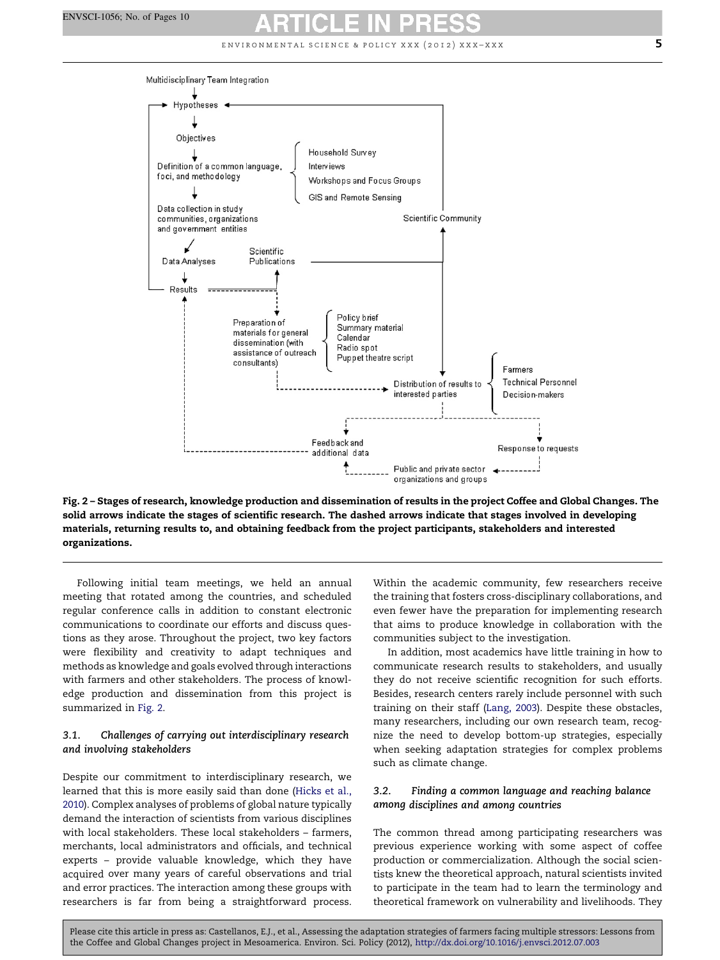ENVIRONMENTAL SCIENCE & POLICY XXX  $(2012)$  XXX-XXX  $(2012)$ 

<span id="page-4-0"></span>

Fig. 2 – Stages of research, knowledge production and dissemination of results in the project Coffee and Global Changes. The solid arrows indicate the stages of scientific research. The dashed arrows indicate that stages involved in developing materials, returning results to, and obtaining feedback from the project participants, stakeholders and interested organizations.

Following initial team meetings, we held an annual meeting that rotated among the countries, and scheduled regular conference calls in addition to constant electronic communications to coordinate our efforts and discuss questions as they arose. Throughout the project, two key factors were flexibility and creativity to adapt techniques and methods as knowledge and goals evolved through interactions with farmers and other stakeholders. The process of knowledge production and dissemination from this project is summarized in Fig. 2.

### 3.1. Challenges of carrying out interdisciplinary research and involving stakeholders

Despite our commitment to interdisciplinary research, we learned that this is more easily said than done ([Hicks](#page-9-0) et al., [2010](#page-9-0)). Complex analyses of problems of global nature typically demand the interaction of scientists from various disciplines with local stakeholders. These local stakeholders – farmers, merchants, local administrators and officials, and technical experts – provide valuable knowledge, which they have acquired over many years of careful observations and trial and error practices. The interaction among these groups with researchers is far from being a straightforward process. Within the academic community, few researchers receive the training that fosters cross-disciplinary collaborations, and even fewer have the preparation for implementing research that aims to produce knowledge in collaboration with the communities subject to the investigation.

In addition, most academics have little training in how to communicate research results to stakeholders, and usually they do not receive scientific recognition for such efforts. Besides, research centers rarely include personnel with such training on their staff [\(Lang,](#page-9-0) 2003). Despite these obstacles, many researchers, including our own research team, recognize the need to develop bottom-up strategies, especially when seeking adaptation strategies for complex problems such as climate change.

### 3.2. Finding a common language and reaching balance among disciplines and among countries

The common thread among participating researchers was previous experience working with some aspect of coffee production or commercialization. Although the social scientists knew the theoretical approach, natural scientists invited to participate in the team had to learn the terminology and theoretical framework on vulnerability and livelihoods. They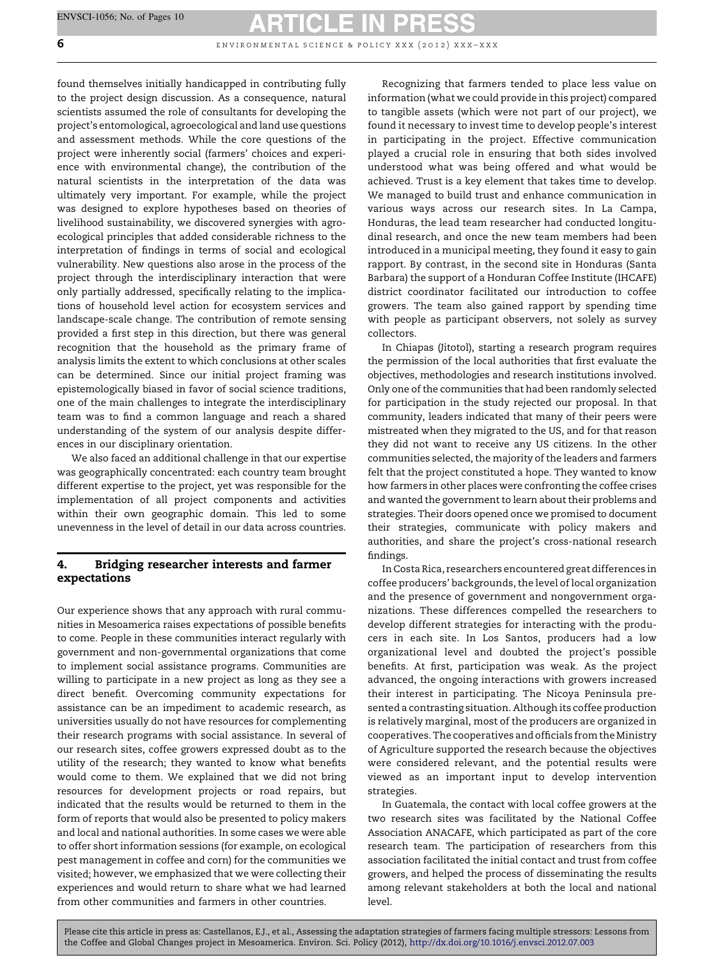### 6 ENVIRONMENTAL SCIENCE & POLICY XXX (2012) XXX-XXX

found themselves initially handicapped in contributing fully to the project design discussion. As a consequence, natural scientists assumed the role of consultants for developing the project's entomological, agroecological and land use questions and assessment methods. While the core questions of the project were inherently social (farmers' choices and experience with environmental change), the contribution of the natural scientists in the interpretation of the data was ultimately very important. For example, while the project was designed to explore hypotheses based on theories of livelihood sustainability, we discovered synergies with agroecological principles that added considerable richness to the interpretation of findings in terms of social and ecological vulnerability. New questions also arose in the process of the project through the interdisciplinary interaction that were only partially addressed, specifically relating to the implications of household level action for ecosystem services and landscape-scale change. The contribution of remote sensing provided a first step in this direction, but there was general recognition that the household as the primary frame of analysis limits the extent to which conclusions at other scales can be determined. Since our initial project framing was epistemologically biased in favor of social science traditions, one of the main challenges to integrate the interdisciplinary team was to find a common language and reach a shared understanding of the system of our analysis despite differences in our disciplinary orientation.

We also faced an additional challenge in that our expertise was geographically concentrated: each country team brought different expertise to the project, yet was responsible for the implementation of all project components and activities within their own geographic domain. This led to some unevenness in the level of detail in our data across countries.

### 4. Bridging researcher interests and farmer expectations

Our experience shows that any approach with rural communities in Mesoamerica raises expectations of possible benefits to come. People in these communities interact regularly with government and non-governmental organizations that come to implement social assistance programs. Communities are willing to participate in a new project as long as they see a direct benefit. Overcoming community expectations for assistance can be an impediment to academic research, as universities usually do not have resources for complementing their research programs with social assistance. In several of our research sites, coffee growers expressed doubt as to the utility of the research; they wanted to know what benefits would come to them. We explained that we did not bring resources for development projects or road repairs, but indicated that the results would be returned to them in the form of reports that would also be presented to policy makers and local and national authorities. In some cases we were able to offer short information sessions (for example, on ecological pest management in coffee and corn) for the communities we visited; however, we emphasized that we were collecting their experiences and would return to share what we had learned from other communities and farmers in other countries.

Recognizing that farmers tended to place less value on information (what we could provide in this project) compared to tangible assets (which were not part of our project), we found it necessary to invest time to develop people's interest in participating in the project. Effective communication played a crucial role in ensuring that both sides involved understood what was being offered and what would be achieved. Trust is a key element that takes time to develop. We managed to build trust and enhance communication in various ways across our research sites. In La Campa, Honduras, the lead team researcher had conducted longitudinal research, and once the new team members had been introduced in a municipal meeting, they found it easy to gain rapport. By contrast, in the second site in Honduras (Santa Barbara) the support of a Honduran Coffee Institute (IHCAFE) district coordinator facilitated our introduction to coffee growers. The team also gained rapport by spending time with people as participant observers, not solely as survey collectors.

In Chiapas (Jitotol), starting a research program requires the permission of the local authorities that first evaluate the objectives, methodologies and research institutions involved. Only one of the communities that had been randomly selected for participation in the study rejected our proposal. In that community, leaders indicated that many of their peers were mistreated when they migrated to the US, and for that reason they did not want to receive any US citizens. In the other communities selected, the majority of the leaders and farmers felt that the project constituted a hope. They wanted to know how farmers in other places were confronting the coffee crises and wanted the government to learn about their problems and strategies. Their doors opened once we promised to document their strategies, communicate with policy makers and authorities, and share the project's cross-national research findings.

InCostaRica, researchers encountered great differences in coffee producers' backgrounds, the level of local organization and the presence of government and nongovernment organizations. These differences compelled the researchers to develop different strategies for interacting with the producers in each site. In Los Santos, producers had a low organizational level and doubted the project's possible benefits. At first, participation was weak. As the project advanced, the ongoing interactions with growers increased their interest in participating. The Nicoya Peninsula presented a contrasting situation. Although its coffee production is relatively marginal, most of the producers are organized in cooperatives.The cooperatives and officials fromthe Ministry of Agriculture supported the research because the objectives were considered relevant, and the potential results were viewed as an important input to develop intervention strategies.

In Guatemala, the contact with local coffee growers at the two research sites was facilitated by the National Coffee Association ANACAFE, which participated as part of the core research team. The participation of researchers from this association facilitated the initial contact and trust from coffee growers, and helped the process of disseminating the results among relevant stakeholders at both the local and national level.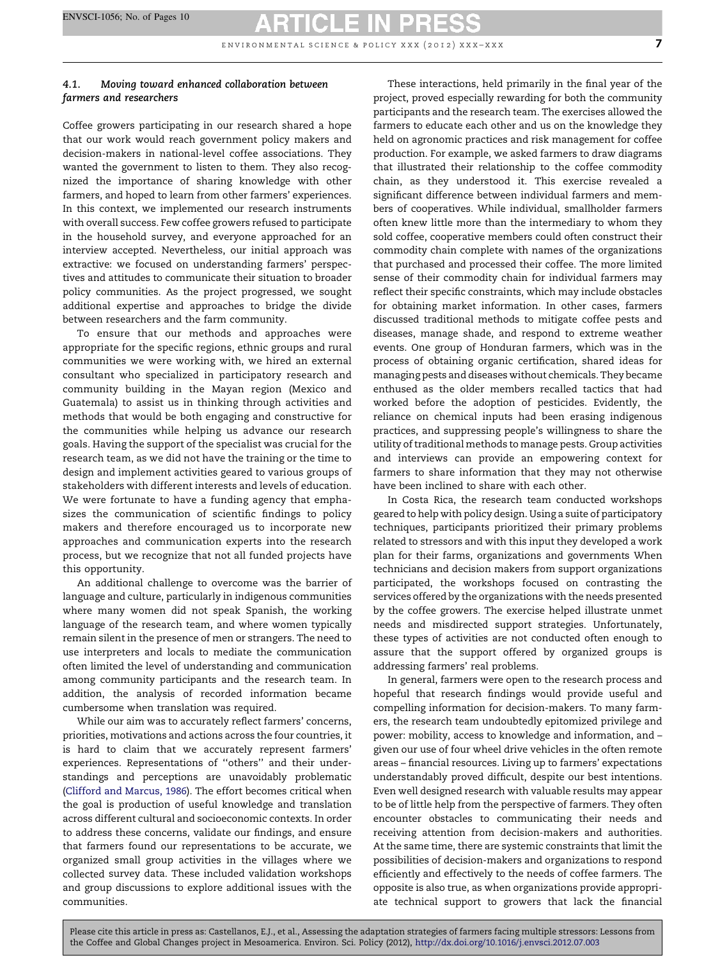ENVIRONMENTAL SCIENCE & POLICY XXX (2012) XXX-XXX  $\overline{Z}$ 

### 4.1. Moving toward enhanced collaboration between farmers and researchers

Coffee growers participating in our research shared a hope that our work would reach government policy makers and decision-makers in national-level coffee associations. They wanted the government to listen to them. They also recognized the importance of sharing knowledge with other farmers, and hoped to learn from other farmers' experiences. In this context, we implemented our research instruments with overall success. Few coffee growers refused to participate in the household survey, and everyone approached for an interview accepted. Nevertheless, our initial approach was extractive: we focused on understanding farmers' perspectives and attitudes to communicate their situation to broader policy communities. As the project progressed, we sought additional expertise and approaches to bridge the divide between researchers and the farm community.

To ensure that our methods and approaches were appropriate for the specific regions, ethnic groups and rural communities we were working with, we hired an external consultant who specialized in participatory research and community building in the Mayan region (Mexico and Guatemala) to assist us in thinking through activities and methods that would be both engaging and constructive for the communities while helping us advance our research goals. Having the support of the specialist was crucial for the research team, as we did not have the training or the time to design and implement activities geared to various groups of stakeholders with different interests and levels of education. We were fortunate to have a funding agency that emphasizes the communication of scientific findings to policy makers and therefore encouraged us to incorporate new approaches and communication experts into the research process, but we recognize that not all funded projects have this opportunity.

An additional challenge to overcome was the barrier of language and culture, particularly in indigenous communities where many women did not speak Spanish, the working language of the research team, and where women typically remain silent in the presence of men or strangers. The need to use interpreters and locals to mediate the communication often limited the level of understanding and communication among community participants and the research team. In addition, the analysis of recorded information became cumbersome when translation was required.

While our aim was to accurately reflect farmers' concerns, priorities, motivations and actions across the four countries, it is hard to claim that we accurately represent farmers' experiences. Representations of ''others'' and their understandings and perceptions are unavoidably problematic (Clifford and [Marcus,](#page-8-0) 1986). The effort becomes critical when the goal is production of useful knowledge and translation across different cultural and socioeconomic contexts. In order to address these concerns, validate our findings, and ensure that farmers found our representations to be accurate, we organized small group activities in the villages where we collected survey data. These included validation workshops and group discussions to explore additional issues with the communities.

These interactions, held primarily in the final year of the project, proved especially rewarding for both the community participants and the research team. The exercises allowed the farmers to educate each other and us on the knowledge they held on agronomic practices and risk management for coffee production. For example, we asked farmers to draw diagrams that illustrated their relationship to the coffee commodity chain, as they understood it. This exercise revealed a significant difference between individual farmers and members of cooperatives. While individual, smallholder farmers often knew little more than the intermediary to whom they sold coffee, cooperative members could often construct their commodity chain complete with names of the organizations that purchased and processed their coffee. The more limited sense of their commodity chain for individual farmers may reflect their specific constraints, which may include obstacles for obtaining market information. In other cases, farmers discussed traditional methods to mitigate coffee pests and diseases, manage shade, and respond to extreme weather events. One group of Honduran farmers, which was in the process of obtaining organic certification, shared ideas for managing pests and diseases without chemicals. They became enthused as the older members recalled tactics that had worked before the adoption of pesticides. Evidently, the reliance on chemical inputs had been erasing indigenous practices, and suppressing people's willingness to share the utility of traditional methods to manage pests. Group activities and interviews can provide an empowering context for farmers to share information that they may not otherwise have been inclined to share with each other.

In Costa Rica, the research team conducted workshops geared to help with policy design. Using a suite of participatory techniques, participants prioritized their primary problems related to stressors and with this input they developed a work plan for their farms, organizations and governments When technicians and decision makers from support organizations participated, the workshops focused on contrasting the services offered by the organizations with the needs presented by the coffee growers. The exercise helped illustrate unmet needs and misdirected support strategies. Unfortunately, these types of activities are not conducted often enough to assure that the support offered by organized groups is addressing farmers' real problems.

In general, farmers were open to the research process and hopeful that research findings would provide useful and compelling information for decision-makers. To many farmers, the research team undoubtedly epitomized privilege and power: mobility, access to knowledge and information, and – given our use of four wheel drive vehicles in the often remote areas – financial resources. Living up to farmers' expectations understandably proved difficult, despite our best intentions. Even well designed research with valuable results may appear to be of little help from the perspective of farmers. They often encounter obstacles to communicating their needs and receiving attention from decision-makers and authorities. At the same time, there are systemic constraints that limit the possibilities of decision-makers and organizations to respond efficiently and effectively to the needs of coffee farmers. The opposite is also true, as when organizations provide appropriate technical support to growers that lack the financial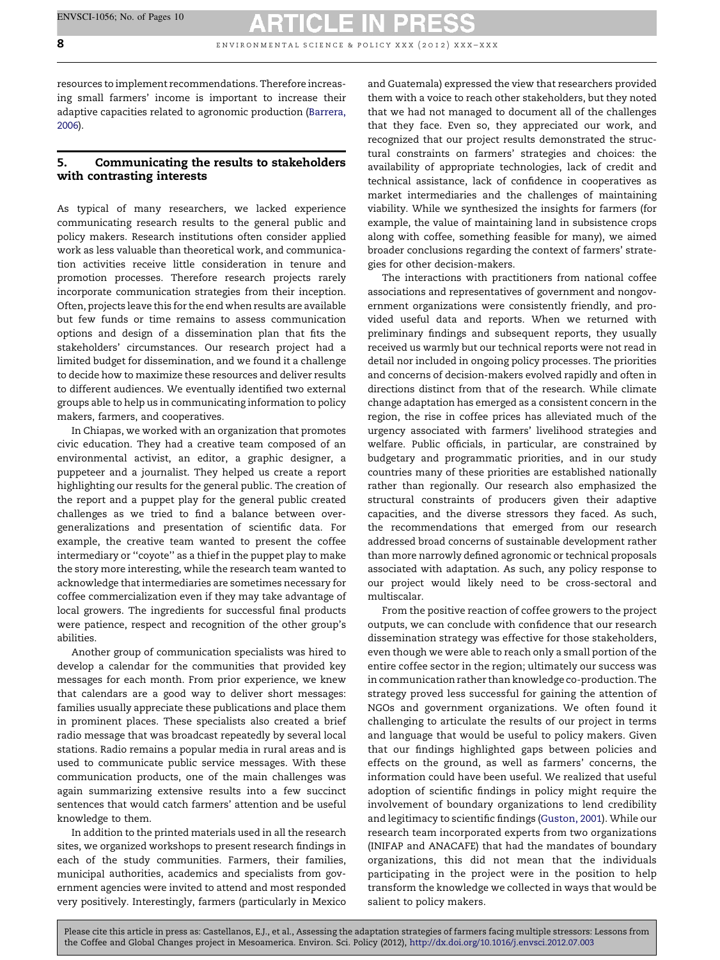8 en vironmental science & policy xxx (2012)  $xxx-xxx$ 

resources to implement recommendations. Therefore increasing small farmers' income is important to increase their adaptive capacities related to agronomic production ([Barrera,](#page-8-0) [2006\)](#page-8-0).

### 5. Communicating the results to stakeholders with contrasting interests

As typical of many researchers, we lacked experience communicating research results to the general public and policy makers. Research institutions often consider applied work as less valuable than theoretical work, and communication activities receive little consideration in tenure and promotion processes. Therefore research projects rarely incorporate communication strategies from their inception. Often, projects leave this for the end when results are available but few funds or time remains to assess communication options and design of a dissemination plan that fits the stakeholders' circumstances. Our research project had a limited budget for dissemination, and we found it a challenge to decide how to maximize these resources and deliver results to different audiences. We eventually identified two external groups able to help us in communicating information to policy makers, farmers, and cooperatives.

In Chiapas, we worked with an organization that promotes civic education. They had a creative team composed of an environmental activist, an editor, a graphic designer, a puppeteer and a journalist. They helped us create a report highlighting our results for the general public. The creation of the report and a puppet play for the general public created challenges as we tried to find a balance between overgeneralizations and presentation of scientific data. For example, the creative team wanted to present the coffee intermediary or ''coyote'' as a thief in the puppet play to make the story more interesting, while the research team wanted to acknowledge that intermediaries are sometimes necessary for coffee commercialization even if they may take advantage of local growers. The ingredients for successful final products were patience, respect and recognition of the other group's abilities.

Another group of communication specialists was hired to develop a calendar for the communities that provided key messages for each month. From prior experience, we knew that calendars are a good way to deliver short messages: families usually appreciate these publications and place them in prominent places. These specialists also created a brief radio message that was broadcast repeatedly by several local stations. Radio remains a popular media in rural areas and is used to communicate public service messages. With these communication products, one of the main challenges was again summarizing extensive results into a few succinct sentences that would catch farmers' attention and be useful knowledge to them.

In addition to the printed materials used in all the research sites, we organized workshops to present research findings in each of the study communities. Farmers, their families, municipal authorities, academics and specialists from government agencies were invited to attend and most responded very positively. Interestingly, farmers (particularly in Mexico

and Guatemala) expressed the view that researchers provided them with a voice to reach other stakeholders, but they noted that we had not managed to document all of the challenges that they face. Even so, they appreciated our work, and recognized that our project results demonstrated the structural constraints on farmers' strategies and choices: the availability of appropriate technologies, lack of credit and technical assistance, lack of confidence in cooperatives as market intermediaries and the challenges of maintaining viability. While we synthesized the insights for farmers (for example, the value of maintaining land in subsistence crops along with coffee, something feasible for many), we aimed broader conclusions regarding the context of farmers' strategies for other decision-makers.

The interactions with practitioners from national coffee associations and representatives of government and nongovernment organizations were consistently friendly, and provided useful data and reports. When we returned with preliminary findings and subsequent reports, they usually received us warmly but our technical reports were not read in detail nor included in ongoing policy processes. The priorities and concerns of decision-makers evolved rapidly and often in directions distinct from that of the research. While climate change adaptation has emerged as a consistent concern in the region, the rise in coffee prices has alleviated much of the urgency associated with farmers' livelihood strategies and welfare. Public officials, in particular, are constrained by budgetary and programmatic priorities, and in our study countries many of these priorities are established nationally rather than regionally. Our research also emphasized the structural constraints of producers given their adaptive capacities, and the diverse stressors they faced. As such, the recommendations that emerged from our research addressed broad concerns of sustainable development rather than more narrowly defined agronomic or technical proposals associated with adaptation. As such, any policy response to our project would likely need to be cross-sectoral and multiscalar.

From the positive reaction of coffee growers to the project outputs, we can conclude with confidence that our research dissemination strategy was effective for those stakeholders, even though we were able to reach only a small portion of the entire coffee sector in the region; ultimately our success was in communication rather than knowledge co-production. The strategy proved less successful for gaining the attention of NGOs and government organizations. We often found it challenging to articulate the results of our project in terms and language that would be useful to policy makers. Given that our findings highlighted gaps between policies and effects on the ground, as well as farmers' concerns, the information could have been useful. We realized that useful adoption of scientific findings in policy might require the involvement of boundary organizations to lend credibility and legitimacy to scientific findings ([Guston,](#page-9-0) 2001). While our research team incorporated experts from two organizations (INIFAP and ANACAFE) that had the mandates of boundary organizations, this did not mean that the individuals participating in the project were in the position to help transform the knowledge we collected in ways that would be salient to policy makers.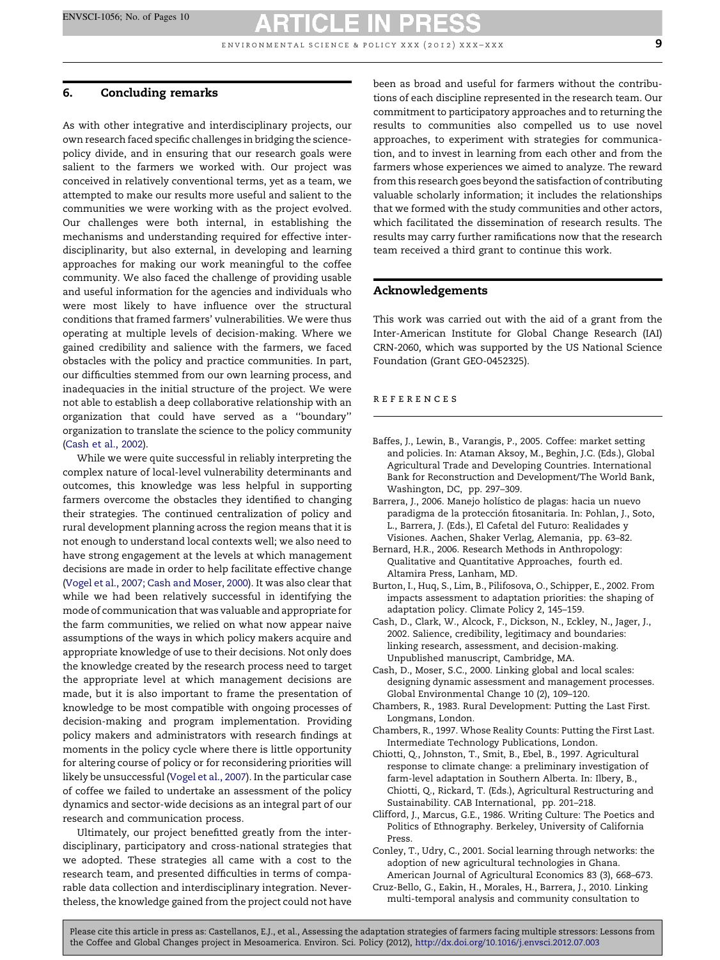ENVIRONMENTAL SCIENCE & POLICY XXX  $(2012)$  XXX-XXX  $(2012)$ 

<span id="page-8-0"></span>As with other integrative and interdisciplinary projects, our own research faced specific challenges in bridging the sciencepolicy divide, and in ensuring that our research goals were salient to the farmers we worked with. Our project was conceived in relatively conventional terms, yet as a team, we attempted to make our results more useful and salient to the communities we were working with as the project evolved. Our challenges were both internal, in establishing the mechanisms and understanding required for effective interdisciplinarity, but also external, in developing and learning approaches for making our work meaningful to the coffee community. We also faced the challenge of providing usable and useful information for the agencies and individuals who were most likely to have influence over the structural conditions that framed farmers' vulnerabilities. We were thus operating at multiple levels of decision-making. Where we gained credibility and salience with the farmers, we faced obstacles with the policy and practice communities. In part, our difficulties stemmed from our own learning process, and inadequacies in the initial structure of the project. We were not able to establish a deep collaborative relationship with an organization that could have served as a ''boundary'' organization to translate the science to the policy community (Cash et al., 2002).

While we were quite successful in reliably interpreting the complex nature of local-level vulnerability determinants and outcomes, this knowledge was less helpful in supporting farmers overcome the obstacles they identified to changing their strategies. The continued centralization of policy and rural development planning across the region means that it is not enough to understand local contexts well; we also need to have strong engagement at the levels at which management decisions are made in order to help facilitate effective change (Vogel et al., 2007; Cash and [Moser,](#page-9-0) 2000). It was also clear that while we had been relatively successful in identifying the mode of communication that was valuable and appropriate for the farm communities, we relied on what now appear naive assumptions of the ways in which policy makers acquire and appropriate knowledge of use to their decisions. Not only does the knowledge created by the research process need to target the appropriate level at which management decisions are made, but it is also important to frame the presentation of knowledge to be most compatible with ongoing processes of decision-making and program implementation. Providing policy makers and administrators with research findings at moments in the policy cycle where there is little opportunity for altering course of policy or for reconsidering priorities will likely be unsuccessful [\(Vogel](#page-9-0) et al., 2007). In the particular case of coffee we failed to undertake an assessment of the policy dynamics and sector-wide decisions as an integral part of our research and communication process.

Ultimately, our project benefitted greatly from the interdisciplinary, participatory and cross-national strategies that we adopted. These strategies all came with a cost to the research team, and presented difficulties in terms of comparable data collection and interdisciplinary integration. Nevertheless, the knowledge gained from the project could not have

been as broad and useful for farmers without the contributions of each discipline represented in the research team. Our commitment to participatory approaches and to returning the results to communities also compelled us to use novel approaches, to experiment with strategies for communication, and to invest in learning from each other and from the farmers whose experiences we aimed to analyze. The reward from this research goes beyond the satisfaction of contributing valuable scholarly information; it includes the relationships that we formed with the study communities and other actors, which facilitated the dissemination of research results. The results may carry further ramifications now that the research team received a third grant to continue this work.

### Acknowledgements

This work was carried out with the aid of a grant from the Inter-American Institute for Global Change Research (IAI) CRN-2060, which was supported by the US National Science Foundation (Grant GEO-0452325).

### r e f e r e n c e s

- Baffes, J., Lewin, B., Varangis, P., 2005. Coffee: market setting and policies. In: Ataman Aksoy, M., Beghin, J.C. (Eds.), Global Agricultural Trade and Developing Countries. International Bank for Reconstruction and Development/The World Bank, Washington, DC, pp. 297–309.
- Barrera, J., 2006. Manejo holístico de plagas: hacia un nuevo paradigma de la protección fitosanitaria. In: Pohlan, J., Soto, L., Barrera, J. (Eds.), El Cafetal del Futuro: Realidades y Visiones. Aachen, Shaker Verlag, Alemania, pp. 63–82.
- Bernard, H.R., 2006. Research Methods in Anthropology: Qualitative and Quantitative Approaches, fourth ed. Altamira Press, Lanham, MD.
- Burton, I., Huq, S., Lim, B., Pilifosova, O., Schipper, E., 2002. From impacts assessment to adaptation priorities: the shaping of adaptation policy. Climate Policy 2, 145–159.
- Cash, D., Clark, W., Alcock, F., Dickson, N., Eckley, N., Jager, J., 2002. Salience, credibility, legitimacy and boundaries: linking research, assessment, and decision-making. Unpublished manuscript, Cambridge, MA.
- Cash, D., Moser, S.C., 2000. Linking global and local scales: designing dynamic assessment and management processes. Global Environmental Change 10 (2), 109–120.
- Chambers, R., 1983. Rural Development: Putting the Last First. Longmans, London.
- Chambers, R., 1997. Whose Reality Counts: Putting the First Last. Intermediate Technology Publications, London.
- Chiotti, Q., Johnston, T., Smit, B., Ebel, B., 1997. Agricultural response to climate change: a preliminary investigation of farm-level adaptation in Southern Alberta. In: Ilbery, B., Chiotti, Q., Rickard, T. (Eds.), Agricultural Restructuring and Sustainability. CAB International, pp. 201–218.
- Clifford, J., Marcus, G.E., 1986. Writing Culture: The Poetics and Politics of Ethnography. Berkeley, University of California Press.
- Conley, T., Udry, C., 2001. Social learning through networks: the adoption of new agricultural technologies in Ghana. American Journal of Agricultural Economics 83 (3), 668–673.
- Cruz-Bello, G., Eakin, H., Morales, H., Barrera, J., 2010. Linking multi-temporal analysis and community consultation to